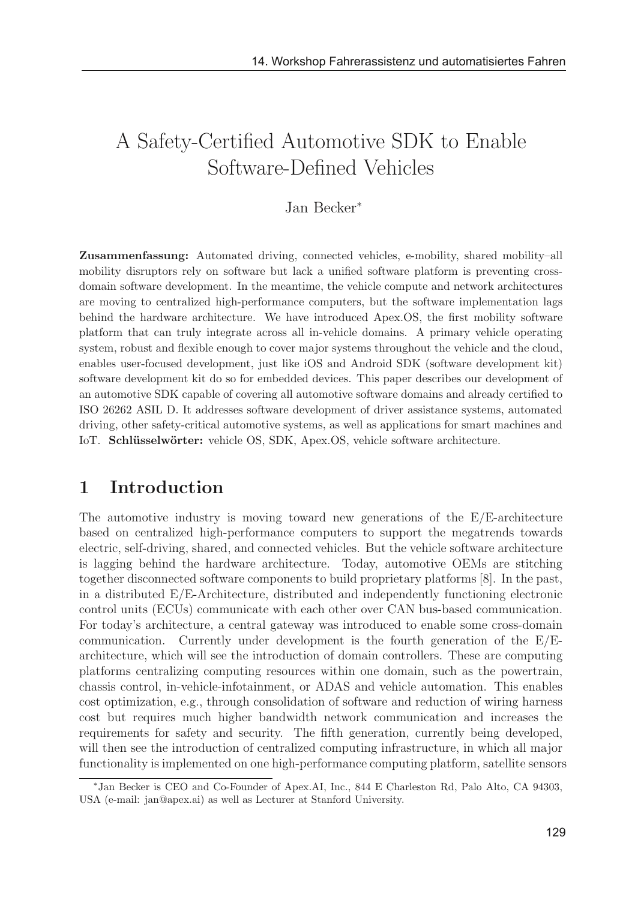# A Safety-Certified Automotive SDK to Enable Software-Defined Vehicles

### Jan Becker<sup>∗</sup>

Zusammenfassung: Automated driving, connected vehicles, e-mobility, shared mobility–all mobility disruptors rely on software but lack a unified software platform is preventing crossdomain software development. In the meantime, the vehicle compute and network architectures are moving to centralized high-performance computers, but the software implementation lags behind the hardware architecture. We have introduced Apex.OS, the first mobility software platform that can truly integrate across all in-vehicle domains. A primary vehicle operating system, robust and flexible enough to cover major systems throughout the vehicle and the cloud, enables user-focused development, just like iOS and Android SDK (software development kit) software development kit do so for embedded devices. This paper describes our development of an automotive SDK capable of covering all automotive software domains and already certified to ISO 26262 ASIL D. It addresses software development of driver assistance systems, automated driving, other safety-critical automotive systems, as well as applications for smart machines and IoT. Schlüsselwörter: vehicle OS, SDK, Apex.OS, vehicle software architecture.

## 1 Introduction

The automotive industry is moving toward new generations of the E/E-architecture based on centralized high-performance computers to support the megatrends towards electric, self-driving, shared, and connected vehicles. But the vehicle software architecture is lagging behind the hardware architecture. Today, automotive OEMs are stitching together disconnected software components to build proprietary platforms [8]. In the past, in a distributed E/E-Architecture, distributed and independently functioning electronic control units (ECUs) communicate with each other over CAN bus-based communication. For today's architecture, a central gateway was introduced to enable some cross-domain communication. Currently under development is the fourth generation of the  $E/E$ architecture, which will see the introduction of domain controllers. These are computing platforms centralizing computing resources within one domain, such as the powertrain, chassis control, in-vehicle-infotainment, or ADAS and vehicle automation. This enables cost optimization, e.g., through consolidation of software and reduction of wiring harness cost but requires much higher bandwidth network communication and increases the requirements for safety and security. The fifth generation, currently being developed, will then see the introduction of centralized computing infrastructure, in which all major functionality is implemented on one high-performance computing platform, satellite sensors

<sup>∗</sup>Jan Becker is CEO and Co-Founder of Apex.AI, Inc., 844 E Charleston Rd, Palo Alto, CA 94303, USA (e-mail: jan@apex.ai) as well as Lecturer at Stanford University.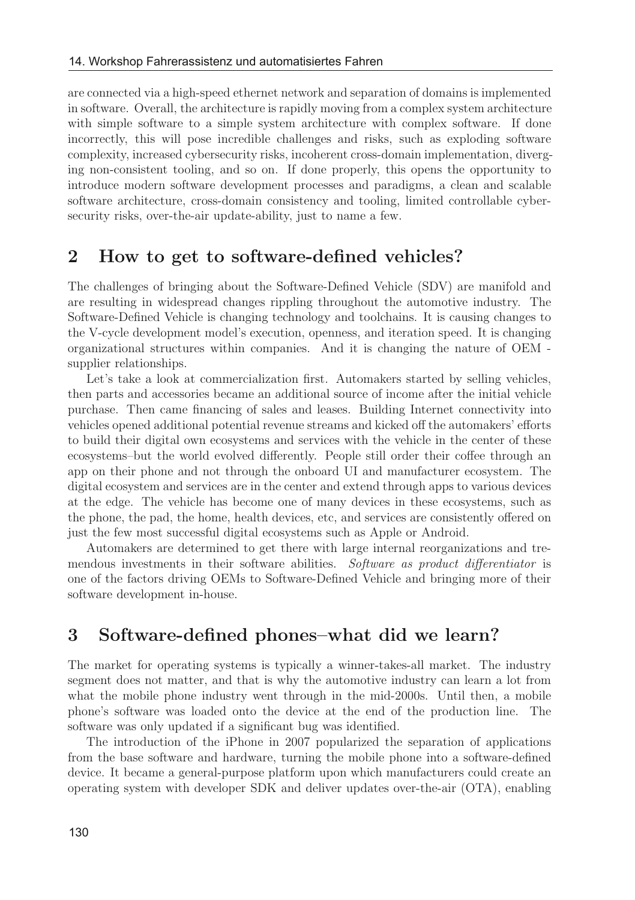are connected via a high-speed ethernet network and separation of domains is implemented in software. Overall, the architecture is rapidly moving from a complex system architecture with simple software to a simple system architecture with complex software. If done incorrectly, this will pose incredible challenges and risks, such as exploding software complexity, increased cybersecurity risks, incoherent cross-domain implementation, diverging non-consistent tooling, and so on. If done properly, this opens the opportunity to introduce modern software development processes and paradigms, a clean and scalable software architecture, cross-domain consistency and tooling, limited controllable cybersecurity risks, over-the-air update-ability, just to name a few.

## 2 How to get to software-defined vehicles?

The challenges of bringing about the Software-Defined Vehicle (SDV) are manifold and are resulting in widespread changes rippling throughout the automotive industry. The Software-Defined Vehicle is changing technology and toolchains. It is causing changes to the V-cycle development model's execution, openness, and iteration speed. It is changing organizational structures within companies. And it is changing the nature of OEM supplier relationships.

Let's take a look at commercialization first. Automakers started by selling vehicles, then parts and accessories became an additional source of income after the initial vehicle purchase. Then came financing of sales and leases. Building Internet connectivity into vehicles opened additional potential revenue streams and kicked off the automakers' efforts to build their digital own ecosystems and services with the vehicle in the center of these ecosystems–but the world evolved differently. People still order their coffee through an app on their phone and not through the onboard UI and manufacturer ecosystem. The digital ecosystem and services are in the center and extend through apps to various devices at the edge. The vehicle has become one of many devices in these ecosystems, such as the phone, the pad, the home, health devices, etc, and services are consistently offered on just the few most successful digital ecosystems such as Apple or Android.

Automakers are determined to get there with large internal reorganizations and tremendous investments in their software abilities. Software as product differentiator is one of the factors driving OEMs to Software-Defined Vehicle and bringing more of their software development in-house.

## 3 Software-defined phones–what did we learn?

The market for operating systems is typically a winner-takes-all market. The industry segment does not matter, and that is why the automotive industry can learn a lot from what the mobile phone industry went through in the mid-2000s. Until then, a mobile phone's software was loaded onto the device at the end of the production line. The software was only updated if a significant bug was identified.

The introduction of the iPhone in 2007 popularized the separation of applications from the base software and hardware, turning the mobile phone into a software-defined device. It became a general-purpose platform upon which manufacturers could create an operating system with developer SDK and deliver updates over-the-air (OTA), enabling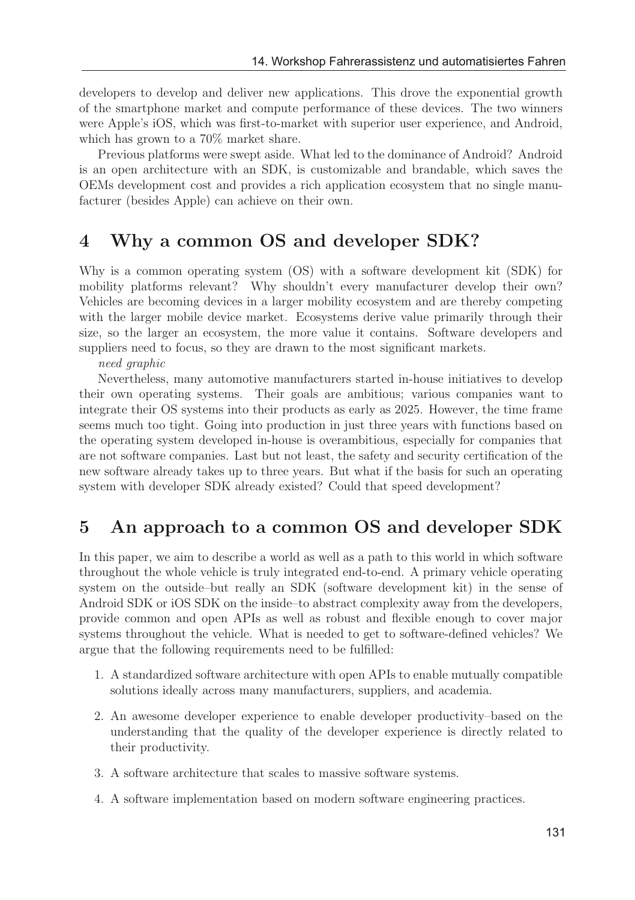developers to develop and deliver new applications. This drove the exponential growth of the smartphone market and compute performance of these devices. The two winners were Apple's iOS, which was first-to-market with superior user experience, and Android, which has grown to a 70% market share.

Previous platforms were swept aside. What led to the dominance of Android? Android is an open architecture with an SDK, is customizable and brandable, which saves the OEMs development cost and provides a rich application ecosystem that no single manufacturer (besides Apple) can achieve on their own.

## 4 Why a common OS and developer SDK?

Why is a common operating system (OS) with a software development kit (SDK) for mobility platforms relevant? Why shouldn't every manufacturer develop their own? Vehicles are becoming devices in a larger mobility ecosystem and are thereby competing with the larger mobile device market. Ecosystems derive value primarily through their size, so the larger an ecosystem, the more value it contains. Software developers and suppliers need to focus, so they are drawn to the most significant markets.

need graphic

Nevertheless, many automotive manufacturers started in-house initiatives to develop their own operating systems. Their goals are ambitious; various companies want to integrate their OS systems into their products as early as 2025. However, the time frame seems much too tight. Going into production in just three years with functions based on the operating system developed in-house is overambitious, especially for companies that are not software companies. Last but not least, the safety and security certification of the new software already takes up to three years. But what if the basis for such an operating system with developer SDK already existed? Could that speed development?

## 5 An approach to a common OS and developer SDK

In this paper, we aim to describe a world as well as a path to this world in which software throughout the whole vehicle is truly integrated end-to-end. A primary vehicle operating system on the outside–but really an SDK (software development kit) in the sense of Android SDK or iOS SDK on the inside–to abstract complexity away from the developers, provide common and open APIs as well as robust and flexible enough to cover major systems throughout the vehicle. What is needed to get to software-defined vehicles? We argue that the following requirements need to be fulfilled:

- 1. A standardized software architecture with open APIs to enable mutually compatible solutions ideally across many manufacturers, suppliers, and academia.
- 2. An awesome developer experience to enable developer productivity–based on the understanding that the quality of the developer experience is directly related to their productivity.
- 3. A software architecture that scales to massive software systems.
- 4. A software implementation based on modern software engineering practices.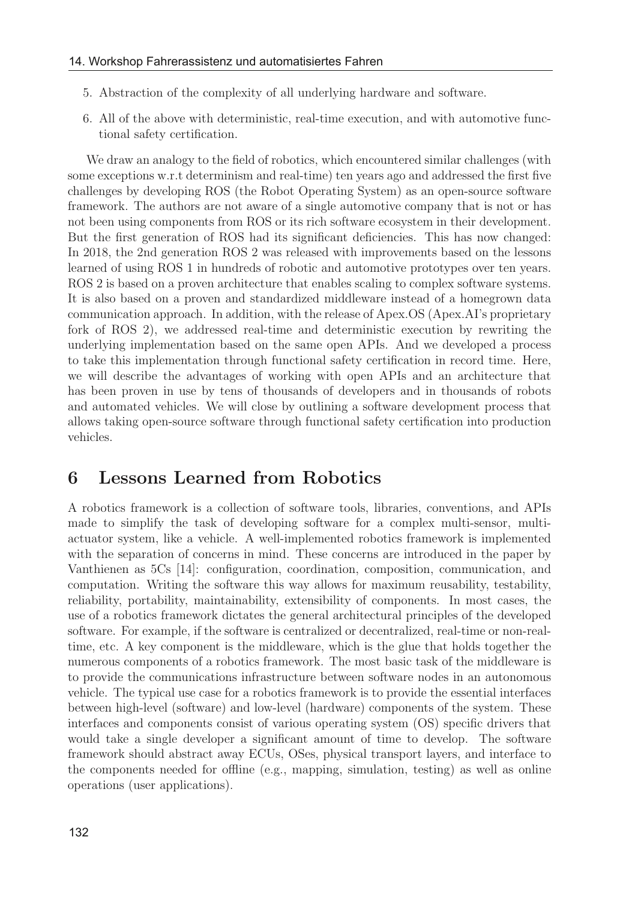- 5. Abstraction of the complexity of all underlying hardware and software.
- 6. All of the above with deterministic, real-time execution, and with automotive functional safety certification.

We draw an analogy to the field of robotics, which encountered similar challenges (with some exceptions w.r.t determinism and real-time) ten years ago and addressed the first five challenges by developing ROS (the Robot Operating System) as an open-source software framework. The authors are not aware of a single automotive company that is not or has not been using components from ROS or its rich software ecosystem in their development. But the first generation of ROS had its significant deficiencies. This has now changed: In 2018, the 2nd generation ROS 2 was released with improvements based on the lessons learned of using ROS 1 in hundreds of robotic and automotive prototypes over ten years. ROS 2 is based on a proven architecture that enables scaling to complex software systems. It is also based on a proven and standardized middleware instead of a homegrown data communication approach. In addition, with the release of Apex.OS (Apex.AI's proprietary fork of ROS 2), we addressed real-time and deterministic execution by rewriting the underlying implementation based on the same open APIs. And we developed a process to take this implementation through functional safety certification in record time. Here, we will describe the advantages of working with open APIs and an architecture that has been proven in use by tens of thousands of developers and in thousands of robots and automated vehicles. We will close by outlining a software development process that allows taking open-source software through functional safety certification into production vehicles.

### 6 Lessons Learned from Robotics

A robotics framework is a collection of software tools, libraries, conventions, and APIs made to simplify the task of developing software for a complex multi-sensor, multiactuator system, like a vehicle. A well-implemented robotics framework is implemented with the separation of concerns in mind. These concerns are introduced in the paper by Vanthienen as 5Cs [14]: configuration, coordination, composition, communication, and computation. Writing the software this way allows for maximum reusability, testability, reliability, portability, maintainability, extensibility of components. In most cases, the use of a robotics framework dictates the general architectural principles of the developed software. For example, if the software is centralized or decentralized, real-time or non-realtime, etc. A key component is the middleware, which is the glue that holds together the numerous components of a robotics framework. The most basic task of the middleware is to provide the communications infrastructure between software nodes in an autonomous vehicle. The typical use case for a robotics framework is to provide the essential interfaces between high-level (software) and low-level (hardware) components of the system. These interfaces and components consist of various operating system (OS) specific drivers that would take a single developer a significant amount of time to develop. The software framework should abstract away ECUs, OSes, physical transport layers, and interface to the components needed for offline (e.g., mapping, simulation, testing) as well as online operations (user applications).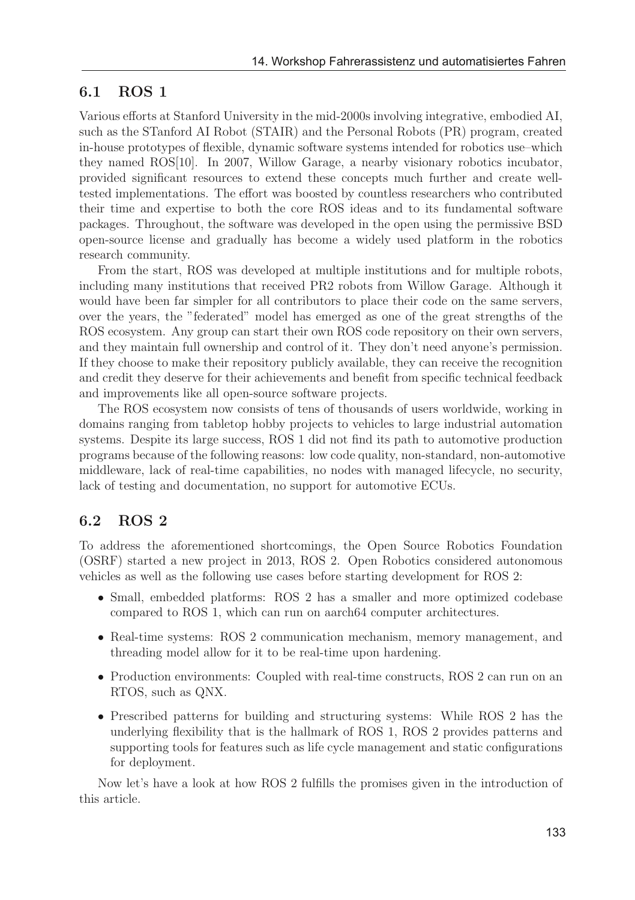#### 6.1 ROS 1

Various efforts at Stanford University in the mid-2000s involving integrative, embodied AI, such as the STanford AI Robot (STAIR) and the Personal Robots (PR) program, created in-house prototypes of flexible, dynamic software systems intended for robotics use–which they named ROS[10]. In 2007, Willow Garage, a nearby visionary robotics incubator, provided significant resources to extend these concepts much further and create welltested implementations. The effort was boosted by countless researchers who contributed their time and expertise to both the core ROS ideas and to its fundamental software packages. Throughout, the software was developed in the open using the permissive BSD open-source license and gradually has become a widely used platform in the robotics research community.

From the start, ROS was developed at multiple institutions and for multiple robots, including many institutions that received PR2 robots from Willow Garage. Although it would have been far simpler for all contributors to place their code on the same servers, over the years, the "federated" model has emerged as one of the great strengths of the ROS ecosystem. Any group can start their own ROS code repository on their own servers, and they maintain full ownership and control of it. They don't need anyone's permission. If they choose to make their repository publicly available, they can receive the recognition and credit they deserve for their achievements and benefit from specific technical feedback and improvements like all open-source software projects.

The ROS ecosystem now consists of tens of thousands of users worldwide, working in domains ranging from tabletop hobby projects to vehicles to large industrial automation systems. Despite its large success, ROS 1 did not find its path to automotive production programs because of the following reasons: low code quality, non-standard, non-automotive middleware, lack of real-time capabilities, no nodes with managed lifecycle, no security, lack of testing and documentation, no support for automotive ECUs.

#### 6.2 ROS 2

To address the aforementioned shortcomings, the Open Source Robotics Foundation (OSRF) started a new project in 2013, ROS 2. Open Robotics considered autonomous vehicles as well as the following use cases before starting development for ROS 2:

- Small, embedded platforms: ROS 2 has a smaller and more optimized codebase compared to ROS 1, which can run on aarch64 computer architectures.
- Real-time systems: ROS 2 communication mechanism, memory management, and threading model allow for it to be real-time upon hardening.
- Production environments: Coupled with real-time constructs, ROS 2 can run on an RTOS, such as QNX.
- Prescribed patterns for building and structuring systems: While ROS 2 has the underlying flexibility that is the hallmark of ROS 1, ROS 2 provides patterns and supporting tools for features such as life cycle management and static configurations for deployment.

Now let's have a look at how ROS 2 fulfills the promises given in the introduction of this article.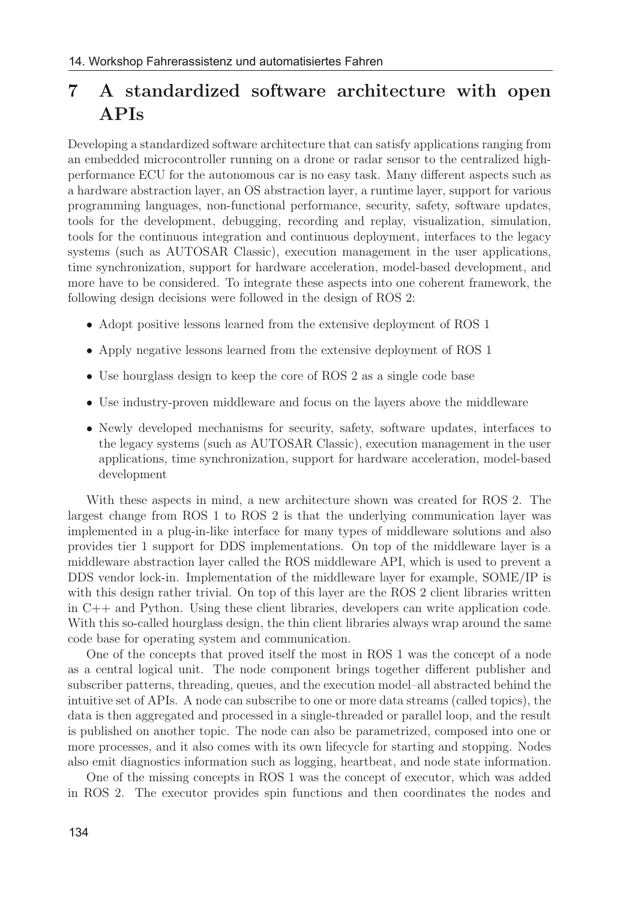# 7 A standardized software architecture with open APIs

Developing a standardized software architecture that can satisfy applications ranging from an embedded microcontroller running on a drone or radar sensor to the centralized highperformance ECU for the autonomous car is no easy task. Many different aspects such as a hardware abstraction layer, an OS abstraction layer, a runtime layer, support for various programming languages, non-functional performance, security, safety, software updates, tools for the development, debugging, recording and replay, visualization, simulation, tools for the continuous integration and continuous deployment, interfaces to the legacy systems (such as AUTOSAR Classic), execution management in the user applications, time synchronization, support for hardware acceleration, model-based development, and more have to be considered. To integrate these aspects into one coherent framework, the following design decisions were followed in the design of ROS 2:

- Adopt positive lessons learned from the extensive deployment of ROS 1
- Apply negative lessons learned from the extensive deployment of ROS 1
- Use hourglass design to keep the core of ROS 2 as a single code base
- Use industry-proven middleware and focus on the layers above the middleware
- Newly developed mechanisms for security, safety, software updates, interfaces to the legacy systems (such as AUTOSAR Classic), execution management in the user applications, time synchronization, support for hardware acceleration, model-based development

With these aspects in mind, a new architecture shown was created for ROS 2. The largest change from ROS 1 to ROS 2 is that the underlying communication layer was implemented in a plug-in-like interface for many types of middleware solutions and also provides tier 1 support for DDS implementations. On top of the middleware layer is a middleware abstraction layer called the ROS middleware API, which is used to prevent a DDS vendor lock-in. Implementation of the middleware layer for example, SOME/IP is with this design rather trivial. On top of this layer are the ROS 2 client libraries written in C++ and Python. Using these client libraries, developers can write application code. With this so-called hourglass design, the thin client libraries always wrap around the same code base for operating system and communication.

One of the concepts that proved itself the most in ROS 1 was the concept of a node as a central logical unit. The node component brings together different publisher and subscriber patterns, threading, queues, and the execution model–all abstracted behind the intuitive set of APIs. A node can subscribe to one or more data streams (called topics), the data is then aggregated and processed in a single-threaded or parallel loop, and the result is published on another topic. The node can also be parametrized, composed into one or more processes, and it also comes with its own lifecycle for starting and stopping. Nodes also emit diagnostics information such as logging, heartbeat, and node state information.

One of the missing concepts in ROS 1 was the concept of executor, which was added in ROS 2. The executor provides spin functions and then coordinates the nodes and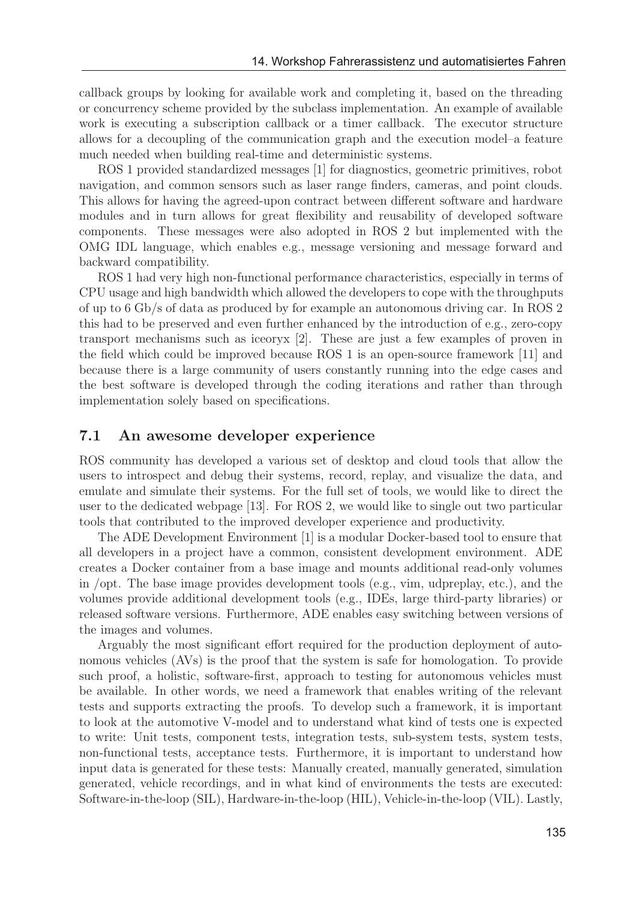callback groups by looking for available work and completing it, based on the threading or concurrency scheme provided by the subclass implementation. An example of available work is executing a subscription callback or a timer callback. The executor structure allows for a decoupling of the communication graph and the execution model–a feature much needed when building real-time and deterministic systems.

ROS 1 provided standardized messages [1] for diagnostics, geometric primitives, robot navigation, and common sensors such as laser range finders, cameras, and point clouds. This allows for having the agreed-upon contract between different software and hardware modules and in turn allows for great flexibility and reusability of developed software components. These messages were also adopted in ROS 2 but implemented with the OMG IDL language, which enables e.g., message versioning and message forward and backward compatibility.

ROS 1 had very high non-functional performance characteristics, especially in terms of CPU usage and high bandwidth which allowed the developers to cope with the throughputs of up to 6 Gb/s of data as produced by for example an autonomous driving car. In ROS 2 this had to be preserved and even further enhanced by the introduction of e.g., zero-copy transport mechanisms such as iceoryx [2]. These are just a few examples of proven in the field which could be improved because ROS 1 is an open-source framework [11] and because there is a large community of users constantly running into the edge cases and the best software is developed through the coding iterations and rather than through implementation solely based on specifications.

#### 7.1 An awesome developer experience

ROS community has developed a various set of desktop and cloud tools that allow the users to introspect and debug their systems, record, replay, and visualize the data, and emulate and simulate their systems. For the full set of tools, we would like to direct the user to the dedicated webpage [13]. For ROS 2, we would like to single out two particular tools that contributed to the improved developer experience and productivity.

The ADE Development Environment [1] is a modular Docker-based tool to ensure that all developers in a project have a common, consistent development environment. ADE creates a Docker container from a base image and mounts additional read-only volumes in /opt. The base image provides development tools (e.g., vim, udpreplay, etc.), and the volumes provide additional development tools (e.g., IDEs, large third-party libraries) or released software versions. Furthermore, ADE enables easy switching between versions of the images and volumes.

Arguably the most significant effort required for the production deployment of autonomous vehicles (AVs) is the proof that the system is safe for homologation. To provide such proof, a holistic, software-first, approach to testing for autonomous vehicles must be available. In other words, we need a framework that enables writing of the relevant tests and supports extracting the proofs. To develop such a framework, it is important to look at the automotive V-model and to understand what kind of tests one is expected to write: Unit tests, component tests, integration tests, sub-system tests, system tests, non-functional tests, acceptance tests. Furthermore, it is important to understand how input data is generated for these tests: Manually created, manually generated, simulation generated, vehicle recordings, and in what kind of environments the tests are executed: Software-in-the-loop (SIL), Hardware-in-the-loop (HIL), Vehicle-in-the-loop (VIL). Lastly,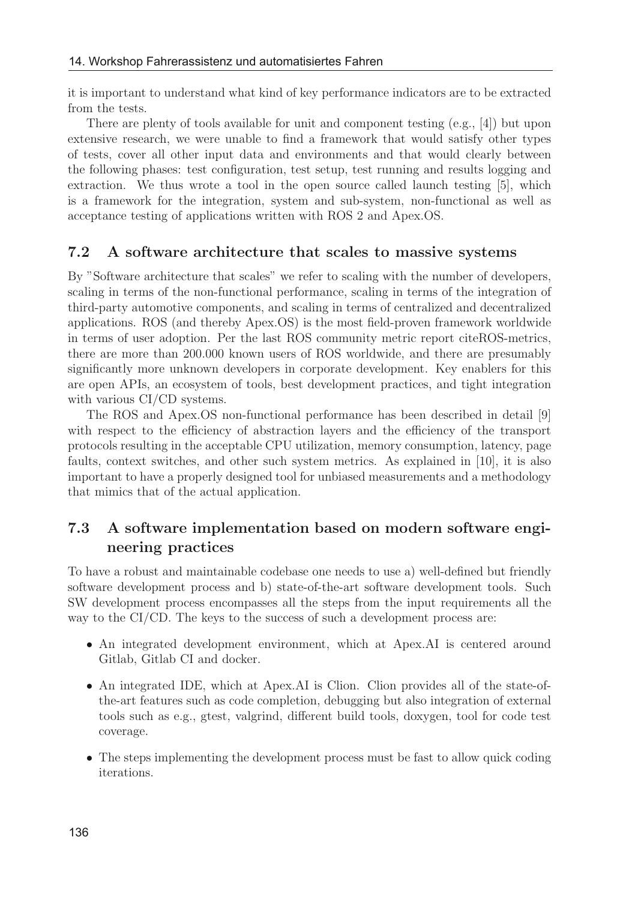it is important to understand what kind of key performance indicators are to be extracted from the tests.

There are plenty of tools available for unit and component testing (e.g., [4]) but upon extensive research, we were unable to find a framework that would satisfy other types of tests, cover all other input data and environments and that would clearly between the following phases: test configuration, test setup, test running and results logging and extraction. We thus wrote a tool in the open source called launch testing [5], which is a framework for the integration, system and sub-system, non-functional as well as acceptance testing of applications written with ROS 2 and Apex.OS.

#### 7.2 A software architecture that scales to massive systems

By "Software architecture that scales" we refer to scaling with the number of developers, scaling in terms of the non-functional performance, scaling in terms of the integration of third-party automotive components, and scaling in terms of centralized and decentralized applications. ROS (and thereby Apex.OS) is the most field-proven framework worldwide in terms of user adoption. Per the last ROS community metric report citeROS-metrics, there are more than 200.000 known users of ROS worldwide, and there are presumably significantly more unknown developers in corporate development. Key enablers for this are open APIs, an ecosystem of tools, best development practices, and tight integration with various CI/CD systems.

The ROS and Apex.OS non-functional performance has been described in detail [9] with respect to the efficiency of abstraction layers and the efficiency of the transport protocols resulting in the acceptable CPU utilization, memory consumption, latency, page faults, context switches, and other such system metrics. As explained in [10], it is also important to have a properly designed tool for unbiased measurements and a methodology that mimics that of the actual application.

### 7.3 A software implementation based on modern software engineering practices

To have a robust and maintainable codebase one needs to use a) well-defined but friendly software development process and b) state-of-the-art software development tools. Such SW development process encompasses all the steps from the input requirements all the way to the CI/CD. The keys to the success of such a development process are:

- An integrated development environment, which at Apex.AI is centered around Gitlab, Gitlab CI and docker.
- An integrated IDE, which at Apex.AI is Clion. Clion provides all of the state-ofthe-art features such as code completion, debugging but also integration of external tools such as e.g., gtest, valgrind, different build tools, doxygen, tool for code test coverage.
- The steps implementing the development process must be fast to allow quick coding iterations.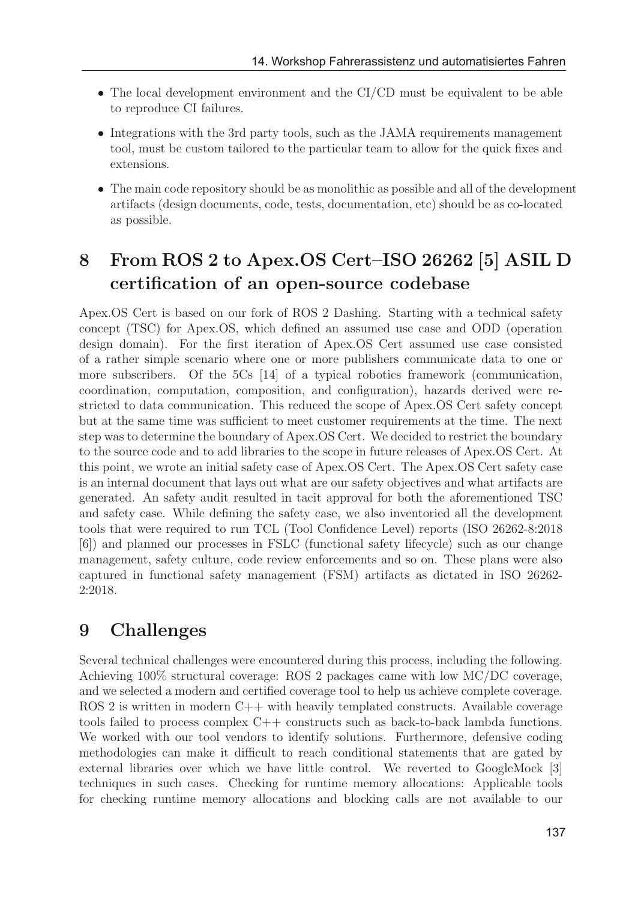- The local development environment and the CI/CD must be equivalent to be able to reproduce CI failures.
- Integrations with the 3rd party tools, such as the JAMA requirements management tool, must be custom tailored to the particular team to allow for the quick fixes and extensions.
- The main code repository should be as monolithic as possible and all of the development artifacts (design documents, code, tests, documentation, etc) should be as co-located as possible.

# 8 From ROS 2 to Apex.OS Cert–ISO 26262 [5] ASIL D certification of an open-source codebase

Apex.OS Cert is based on our fork of ROS 2 Dashing. Starting with a technical safety concept (TSC) for Apex.OS, which defined an assumed use case and ODD (operation design domain). For the first iteration of Apex.OS Cert assumed use case consisted of a rather simple scenario where one or more publishers communicate data to one or more subscribers. Of the 5Cs [14] of a typical robotics framework (communication, coordination, computation, composition, and configuration), hazards derived were restricted to data communication. This reduced the scope of Apex.OS Cert safety concept but at the same time was sufficient to meet customer requirements at the time. The next step was to determine the boundary of Apex.OS Cert. We decided to restrict the boundary to the source code and to add libraries to the scope in future releases of Apex.OS Cert. At this point, we wrote an initial safety case of Apex.OS Cert. The Apex.OS Cert safety case is an internal document that lays out what are our safety objectives and what artifacts are generated. An safety audit resulted in tacit approval for both the aforementioned TSC and safety case. While defining the safety case, we also inventoried all the development tools that were required to run TCL (Tool Confidence Level) reports (ISO 26262-8:2018 [6]) and planned our processes in FSLC (functional safety lifecycle) such as our change management, safety culture, code review enforcements and so on. These plans were also captured in functional safety management (FSM) artifacts as dictated in ISO 26262- 2:2018.

## 9 Challenges

Several technical challenges were encountered during this process, including the following. Achieving 100% structural coverage: ROS 2 packages came with low MC/DC coverage, and we selected a modern and certified coverage tool to help us achieve complete coverage. ROS 2 is written in modern C++ with heavily templated constructs. Available coverage tools failed to process complex C++ constructs such as back-to-back lambda functions. We worked with our tool vendors to identify solutions. Furthermore, defensive coding methodologies can make it difficult to reach conditional statements that are gated by external libraries over which we have little control. We reverted to GoogleMock [3] techniques in such cases. Checking for runtime memory allocations: Applicable tools for checking runtime memory allocations and blocking calls are not available to our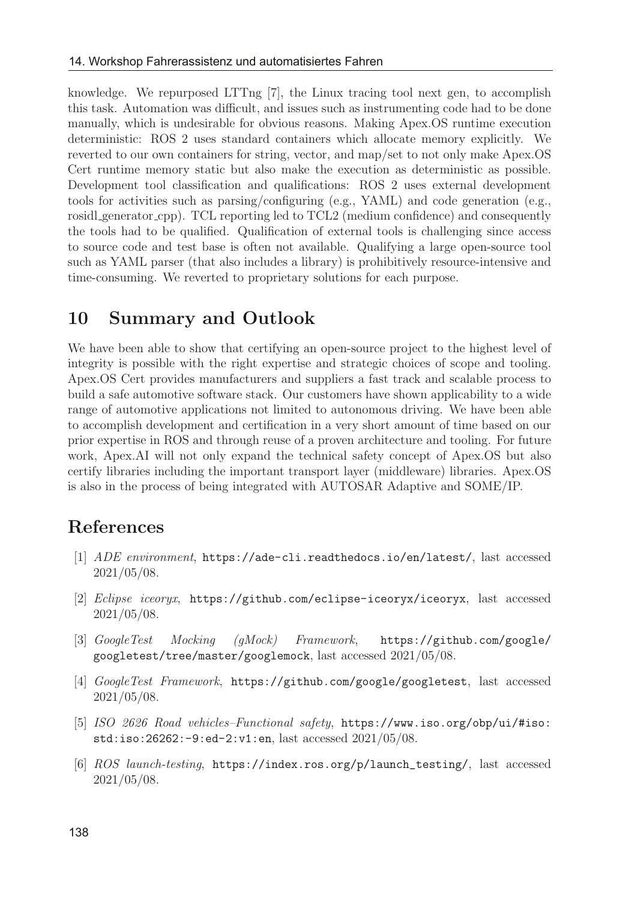knowledge. We repurposed LTTng [7], the Linux tracing tool next gen, to accomplish this task. Automation was difficult, and issues such as instrumenting code had to be done manually, which is undesirable for obvious reasons. Making Apex.OS runtime execution deterministic: ROS 2 uses standard containers which allocate memory explicitly. We reverted to our own containers for string, vector, and map/set to not only make Apex.OS Cert runtime memory static but also make the execution as deterministic as possible. Development tool classification and qualifications: ROS 2 uses external development tools for activities such as parsing/configuring (e.g., YAML) and code generation (e.g., rosidl generator cpp). TCL reporting led to TCL2 (medium confidence) and consequently the tools had to be qualified. Qualification of external tools is challenging since access to source code and test base is often not available. Qualifying a large open-source tool such as YAML parser (that also includes a library) is prohibitively resource-intensive and time-consuming. We reverted to proprietary solutions for each purpose.

## 10 Summary and Outlook

We have been able to show that certifying an open-source project to the highest level of integrity is possible with the right expertise and strategic choices of scope and tooling. Apex.OS Cert provides manufacturers and suppliers a fast track and scalable process to build a safe automotive software stack. Our customers have shown applicability to a wide range of automotive applications not limited to autonomous driving. We have been able to accomplish development and certification in a very short amount of time based on our prior expertise in ROS and through reuse of a proven architecture and tooling. For future work, Apex.AI will not only expand the technical safety concept of Apex.OS but also certify libraries including the important transport layer (middleware) libraries. Apex.OS is also in the process of being integrated with AUTOSAR Adaptive and SOME/IP.

## References

- [1] ADE environment, https://ade-cli.readthedocs.io/en/latest/, last accessed 2021/05/08.
- [2] Eclipse iceoryx, https://github.com/eclipse-iceoryx/iceoryx, last accessed 2021/05/08.
- [3] GoogleTest Mocking (gMock) Framework, https://github.com/google/ googletest/tree/master/googlemock, last accessed 2021/05/08.
- [4] GoogleTest Framework, https://github.com/google/googletest, last accessed 2021/05/08.
- [5] ISO 2626 Road vehicles–Functional safety, https://www.iso.org/obp/ui/#iso: std:iso:26262:-9:ed-2:v1:en, last accessed 2021/05/08.
- [6] ROS launch-testing, https://index.ros.org/p/launch\_testing/, last accessed 2021/05/08.